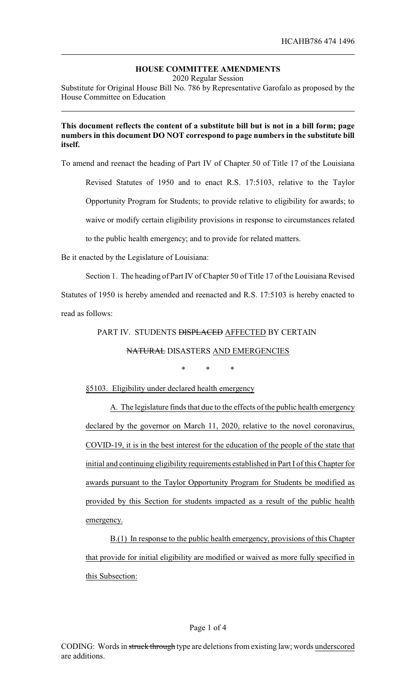# **HOUSE COMMITTEE AMENDMENTS**

2020 Regular Session

Substitute for Original House Bill No. 786 by Representative Garofalo as proposed by the House Committee on Education

## **This document reflects the content of a substitute bill but is not in a bill form; page numbers in this document DO NOT correspond to page numbers in the substitute bill itself.**

To amend and reenact the heading of Part IV of Chapter 50 of Title 17 of the Louisiana

Revised Statutes of 1950 and to enact R.S. 17:5103, relative to the Taylor Opportunity Program for Students; to provide relative to eligibility for awards; to waive or modify certain eligibility provisions in response to circumstances related to the public health emergency; and to provide for related matters.

Be it enacted by the Legislature of Louisiana:

Section 1. The heading of Part IV of Chapter 50 of Title 17 of the Louisiana Revised Statutes of 1950 is hereby amended and reenacted and R.S. 17:5103 is hereby enacted to read as follows:

## PART IV. STUDENTS **DISPLACED** AFFECTED BY CERTAIN

## NATURAL DISASTERS AND EMERGENCIES

\* \* \*

## §5103. Eligibility under declared health emergency

A. The legislature finds that due to the effects of the public health emergency declared by the governor on March 11, 2020, relative to the novel coronavirus, COVID-19, it is in the best interest for the education of the people of the state that initial and continuing eligibility requirements established in Part I of this Chapter for awards pursuant to the Taylor Opportunity Program for Students be modified as provided by this Section for students impacted as a result of the public health emergency.

B.(1) In response to the public health emergency, provisions of this Chapter that provide for initial eligibility are modified or waived as more fully specified in this Subsection: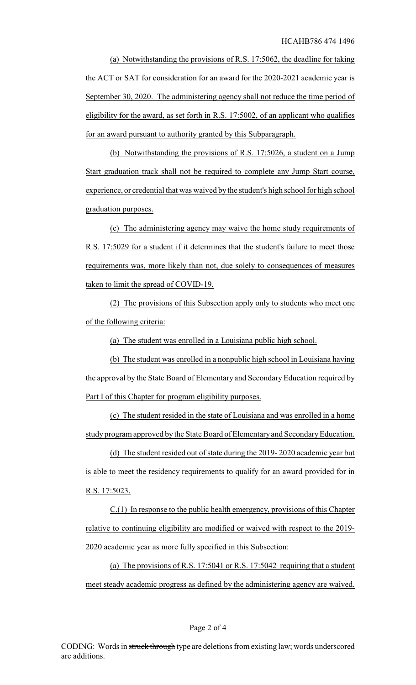(a) Notwithstanding the provisions of R.S. 17:5062, the deadline for taking the ACT or SAT for consideration for an award for the 2020-2021 academic year is September 30, 2020. The administering agency shall not reduce the time period of eligibility for the award, as set forth in R.S. 17:5002, of an applicant who qualifies for an award pursuant to authority granted by this Subparagraph.

(b) Notwithstanding the provisions of R.S. 17:5026, a student on a Jump Start graduation track shall not be required to complete any Jump Start course, experience, or credential that was waived by the student's high school for high school graduation purposes.

(c) The administering agency may waive the home study requirements of R.S. 17:5029 for a student if it determines that the student's failure to meet those requirements was, more likely than not, due solely to consequences of measures taken to limit the spread of COVID-19.

(2) The provisions of this Subsection apply only to students who meet one of the following criteria:

(a) The student was enrolled in a Louisiana public high school.

(b) The student was enrolled in a nonpublic high school in Louisiana having the approval by the State Board of Elementary and Secondary Education required by Part I of this Chapter for program eligibility purposes.

(c) The student resided in the state of Louisiana and was enrolled in a home study program approved by the State Board of Elementary and Secondary Education.

(d) The student resided out of state during the 2019- 2020 academic year but is able to meet the residency requirements to qualify for an award provided for in R.S. 17:5023.

C.(1) In response to the public health emergency, provisions of this Chapter relative to continuing eligibility are modified or waived with respect to the 2019- 2020 academic year as more fully specified in this Subsection:

(a) The provisions of R.S. 17:5041 or R.S. 17:5042 requiring that a student meet steady academic progress as defined by the administering agency are waived.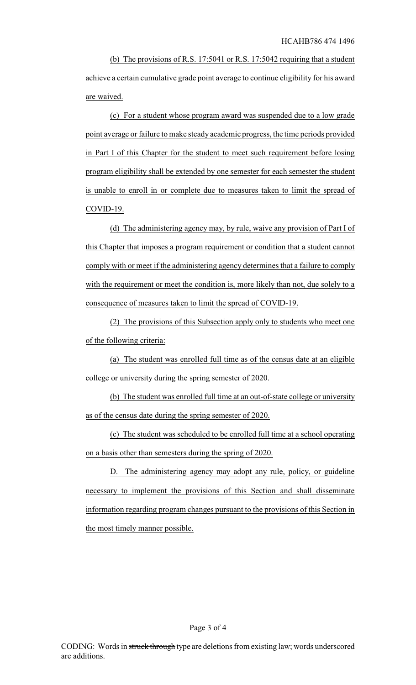(b) The provisions of R.S. 17:5041 or R.S. 17:5042 requiring that a student achieve a certain cumulative grade point average to continue eligibility for his award are waived.

(c) For a student whose program award was suspended due to a low grade point average or failure to make steady academic progress, the time periods provided in Part I of this Chapter for the student to meet such requirement before losing program eligibility shall be extended by one semester for each semester the student is unable to enroll in or complete due to measures taken to limit the spread of COVID-19.

(d) The administering agency may, by rule, waive any provision of Part I of this Chapter that imposes a program requirement or condition that a student cannot comply with or meet if the administering agency determines that a failure to comply with the requirement or meet the condition is, more likely than not, due solely to a consequence of measures taken to limit the spread of COVID-19.

(2) The provisions of this Subsection apply only to students who meet one of the following criteria:

(a) The student was enrolled full time as of the census date at an eligible college or university during the spring semester of 2020.

(b) The student was enrolled full time at an out-of-state college or university as of the census date during the spring semester of 2020.

(c) The student was scheduled to be enrolled full time at a school operating on a basis other than semesters during the spring of 2020.

D. The administering agency may adopt any rule, policy, or guideline necessary to implement the provisions of this Section and shall disseminate information regarding program changes pursuant to the provisions of this Section in the most timely manner possible.